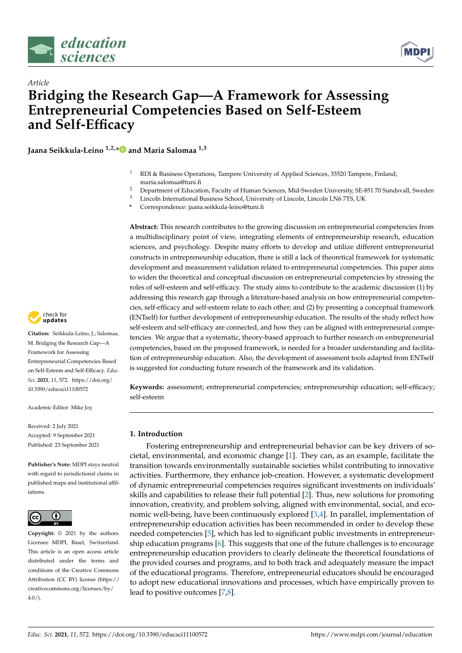



# *Article* **Bridging the Research Gap—A Framework for Assessing Entrepreneurial Competencies Based on Self-Esteem and Self-Efficacy**

**Jaana Seikkula-Leino 1,2,[\\*](https://orcid.org/0000-0001-8624-6930) and Maria Salomaa 1,3**

- RDI & Business Operations, Tampere University of Applied Sciences, 33520 Tampere, Finland; maria.salomaa@tuni.fi
- <sup>2</sup> Department of Education, Faculty of Human Sciences, Mid-Sweden University, SE-851 70 Sundsvall, Sweden<br><sup>3</sup> Lincoln International Business School, University of Lincoln Lincoln J N6 7TS J IK
- <sup>3</sup> Lincoln International Business School, University of Lincoln, Lincoln LN6 7TS, UK
- **\*** Correspondence: jaana.seikkula-leino@tuni.fi

**Abstract:** This research contributes to the growing discussion on entrepreneurial competencies from a multidisciplinary point of view, integrating elements of entrepreneurship research, education sciences, and psychology. Despite many efforts to develop and utilize different entrepreneurial constructs in entrepreneurship education, there is still a lack of theoretical framework for systematic development and measurement validation related to entrepreneurial competencies. This paper aims to widen the theoretical and conceptual discussion on entrepreneurial competencies by stressing the roles of self-esteem and self-efficacy. The study aims to contribute to the academic discussion (1) by addressing this research gap through a literature-based analysis on how entrepreneurial competencies, self-efficacy and self-esteem relate to each other; and (2) by presenting a conceptual framework (ENTself) for further development of entrepreneurship education. The results of the study reflect how self-esteem and self-efficacy are connected, and how they can be aligned with entrepreneurial competencies. We argue that a systematic, theory-based approach to further research on entrepreneurial competencies, based on the proposed framework, is needed for a broader understanding and facilitation of entrepreneurship education. Also, the development of assessment tools adapted from ENTself is suggested for conducting future research of the framework and its validation.

**Keywords:** assessment; entrepreneurial competencies; entrepreneurship education; self-efficacy; self-esteem

# **1. Introduction**

Fostering entrepreneurship and entrepreneurial behavior can be key drivers of societal, environmental, and economic change [\[1\]](#page-13-0). They can, as an example, facilitate the transition towards environmentally sustainable societies whilst contributing to innovative activities. Furthermore, they enhance job-creation. However, a systematic development of dynamic entrepreneurial competencies requires significant investments on individuals' skills and capabilities to release their full potential [\[2\]](#page-13-1). Thus, new solutions for promoting innovation, creativity, and problem solving, aligned with environmental, social, and economic well-being, have been continuously explored [\[3,](#page-14-0)[4\]](#page-14-1). In parallel, implementation of entrepreneurship education activities has been recommended in order to develop these needed competencies [\[5\]](#page-14-2), which has led to significant public investments in entrepreneurship education programs [\[6\]](#page-14-3). This suggests that one of the future challenges is to encourage entrepreneurship education providers to clearly delineate the theoretical foundations of the provided courses and programs, and to both track and adequately measure the impact of the educational programs. Therefore, entrepreneurial educators should be encouraged to adopt new educational innovations and processes, which have empirically proven to lead to positive outcomes [\[7](#page-14-4)[,8\]](#page-14-5).



**Citation:** Seikkula-Leino, J.; Salomaa, M. Bridging the Research Gap—A Framework for Assessing Entrepreneurial Competencies Based on Self-Esteem and Self-Efficacy. *Educ. Sci.* **2021**, *11*, 572. [https://doi.org/](https://doi.org/10.3390/educsci11100572) [10.3390/educsci11100572](https://doi.org/10.3390/educsci11100572)

Academic Editor: Mike Joy

Received: 2 July 2021 Accepted: 9 September 2021 Published: 23 September 2021

**Publisher's Note:** MDPI stays neutral with regard to jurisdictional claims in published maps and institutional affiliations.



**Copyright:** © 2021 by the authors. Licensee MDPI, Basel, Switzerland. This article is an open access article distributed under the terms and conditions of the Creative Commons Attribution (CC BY) license (https:/[/](https://creativecommons.org/licenses/by/4.0/) [creativecommons.org/licenses/by/](https://creativecommons.org/licenses/by/4.0/)  $4.0/$ ).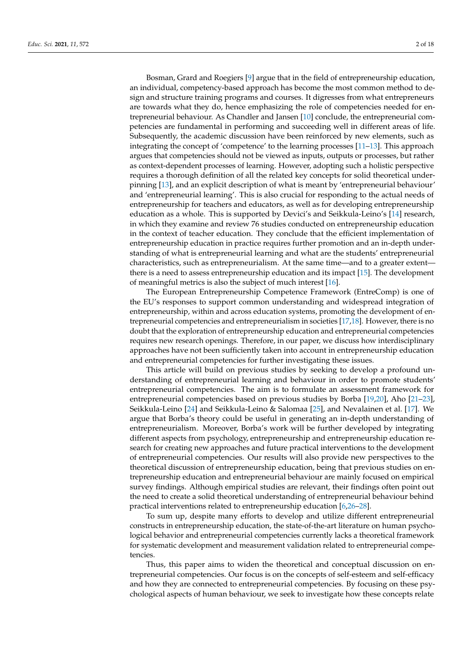Bosman, Grard and Roegiers [\[9\]](#page-14-6) argue that in the field of entrepreneurship education, an individual, competency-based approach has become the most common method to design and structure training programs and courses. It digresses from what entrepreneurs are towards what they do, hence emphasizing the role of competencies needed for entrepreneurial behaviour. As Chandler and Jansen [\[10\]](#page-14-7) conclude, the entrepreneurial competencies are fundamental in performing and succeeding well in different areas of life. Subsequently, the academic discussion have been reinforced by new elements, such as integrating the concept of 'competence' to the learning processes [\[11](#page-14-8)[–13\]](#page-14-9). This approach argues that competencies should not be viewed as inputs, outputs or processes, but rather as context-dependent processes of learning. However, adopting such a holistic perspective requires a thorough definition of all the related key concepts for solid theoretical underpinning [\[13\]](#page-14-9), and an explicit description of what is meant by 'entrepreneurial behaviour' and 'entrepreneurial learning'. This is also crucial for responding to the actual needs of entrepreneurship for teachers and educators, as well as for developing entrepreneurship education as a whole. This is supported by Devici's and Seikkula-Leino's [\[14\]](#page-14-10) research, in which they examine and review 76 studies conducted on entrepreneurship education in the context of teacher education. They conclude that the efficient implementation of entrepreneurship education in practice requires further promotion and an in-depth understanding of what is entrepreneurial learning and what are the students' entrepreneurial characteristics, such as entrepreneurialism. At the same time—and to a greater extent there is a need to assess entrepreneurship education and its impact [\[15\]](#page-14-11). The development of meaningful metrics is also the subject of much interest [\[16\]](#page-14-12).

The European Entrepreneurship Competence Framework (EntreComp) is one of the EU's responses to support common understanding and widespread integration of entrepreneurship, within and across education systems, promoting the development of entrepreneurial competencies and entrepreneurialism in societies [\[17](#page-14-13)[,18\]](#page-14-14). However, there is no doubt that the exploration of entrepreneurship education and entrepreneurial competencies requires new research openings. Therefore, in our paper, we discuss how interdisciplinary approaches have not been sufficiently taken into account in entrepreneurship education and entrepreneurial competencies for further investigating these issues.

This article will build on previous studies by seeking to develop a profound understanding of entrepreneurial learning and behaviour in order to promote students' entrepreneurial competencies. The aim is to formulate an assessment framework for entrepreneurial competencies based on previous studies by Borba [\[19,](#page-14-15)[20\]](#page-14-16), Aho [\[21–](#page-14-17)[23\]](#page-14-18), Seikkula-Leino [\[24\]](#page-14-19) and Seikkula-Leino & Salomaa [\[25\]](#page-14-20), and Nevalainen et al. [\[17\]](#page-14-13). We argue that Borba's theory could be useful in generating an in-depth understanding of entrepreneurialism. Moreover, Borba's work will be further developed by integrating different aspects from psychology, entrepreneurship and entrepreneurship education research for creating new approaches and future practical interventions to the development of entrepreneurial competencies. Our results will also provide new perspectives to the theoretical discussion of entrepreneurship education, being that previous studies on entrepreneurship education and entrepreneurial behaviour are mainly focused on empirical survey findings. Although empirical studies are relevant, their findings often point out the need to create a solid theoretical understanding of entrepreneurial behaviour behind practical interventions related to entrepreneurship education [\[6,](#page-14-3)[26](#page-14-21)[–28\]](#page-14-22).

To sum up, despite many efforts to develop and utilize different entrepreneurial constructs in entrepreneurship education, the state-of-the-art literature on human psychological behavior and entrepreneurial competencies currently lacks a theoretical framework for systematic development and measurement validation related to entrepreneurial competencies.

Thus, this paper aims to widen the theoretical and conceptual discussion on entrepreneurial competencies. Our focus is on the concepts of self-esteem and self-efficacy and how they are connected to entrepreneurial competencies. By focusing on these psychological aspects of human behaviour, we seek to investigate how these concepts relate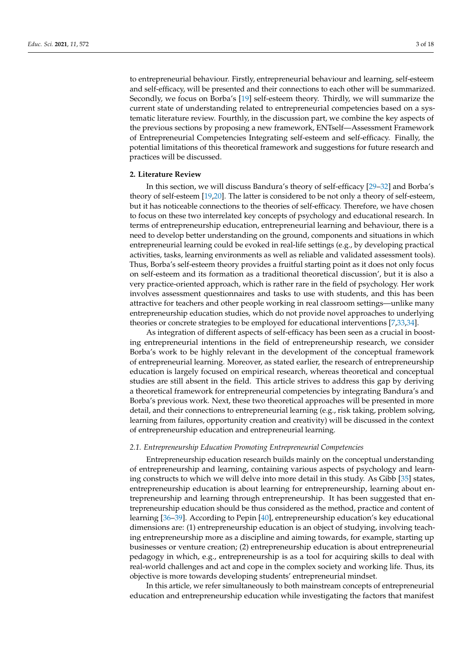to entrepreneurial behaviour. Firstly, entrepreneurial behaviour and learning, self-esteem and self-efficacy, will be presented and their connections to each other will be summarized. Secondly, we focus on Borba's [\[19\]](#page-14-15) self-esteem theory. Thirdly, we will summarize the current state of understanding related to entrepreneurial competencies based on a systematic literature review. Fourthly, in the discussion part, we combine the key aspects of the previous sections by proposing a new framework, ENTself—Assessment Framework of Entrepreneurial Competencies Integrating self-esteem and self-efficacy. Finally, the potential limitations of this theoretical framework and suggestions for future research and practices will be discussed.

## **2. Literature Review**

In this section, we will discuss Bandura's theory of self-efficacy [\[29](#page-14-23)[–32\]](#page-14-24) and Borba's theory of self-esteem [\[19,](#page-14-15)[20\]](#page-14-16). The latter is considered to be not only a theory of self-esteem, but it has noticeable connections to the theories of self-efficacy. Therefore, we have chosen to focus on these two interrelated key concepts of psychology and educational research. In terms of entrepreneurship education, entrepreneurial learning and behaviour, there is a need to develop better understanding on the ground, components and situations in which entrepreneurial learning could be evoked in real-life settings (e.g., by developing practical activities, tasks, learning environments as well as reliable and validated assessment tools). Thus, Borba's self-esteem theory provides a fruitful starting point as it does not only focus on self-esteem and its formation as a traditional theoretical discussion', but it is also a very practice-oriented approach, which is rather rare in the field of psychology. Her work involves assessment questionnaires and tasks to use with students, and this has been attractive for teachers and other people working in real classroom settings—unlike many entrepreneurship education studies, which do not provide novel approaches to underlying theories or concrete strategies to be employed for educational interventions [\[7](#page-14-4)[,33](#page-15-0)[,34\]](#page-15-1).

As integration of different aspects of self-efficacy has been seen as a crucial in boosting entrepreneurial intentions in the field of entrepreneurship research, we consider Borba's work to be highly relevant in the development of the conceptual framework of entrepreneurial learning. Moreover, as stated earlier, the research of entrepreneurship education is largely focused on empirical research, whereas theoretical and conceptual studies are still absent in the field. This article strives to address this gap by deriving a theoretical framework for entrepreneurial competencies by integrating Bandura's and Borba's previous work. Next, these two theoretical approaches will be presented in more detail, and their connections to entrepreneurial learning (e.g., risk taking, problem solving, learning from failures, opportunity creation and creativity) will be discussed in the context of entrepreneurship education and entrepreneurial learning.

#### *2.1. Entrepreneurship Education Promoting Entrepreneurial Competencies*

Entrepreneurship education research builds mainly on the conceptual understanding of entrepreneurship and learning, containing various aspects of psychology and learning constructs to which we will delve into more detail in this study. As Gibb [\[35\]](#page-15-2) states, entrepreneurship education is about learning for entrepreneurship, learning about entrepreneurship and learning through entrepreneurship. It has been suggested that entrepreneurship education should be thus considered as the method, practice and content of learning [\[36](#page-15-3)[–39\]](#page-15-4). According to Pepin [\[40\]](#page-15-5), entrepreneurship education's key educational dimensions are: (1) entrepreneurship education is an object of studying, involving teaching entrepreneurship more as a discipline and aiming towards, for example, starting up businesses or venture creation; (2) entrepreneurship education is about entrepreneurial pedagogy in which, e.g., entrepreneurship is as a tool for acquiring skills to deal with real-world challenges and act and cope in the complex society and working life. Thus, its objective is more towards developing students' entrepreneurial mindset.

In this article, we refer simultaneously to both mainstream concepts of entrepreneurial education and entrepreneurship education while investigating the factors that manifest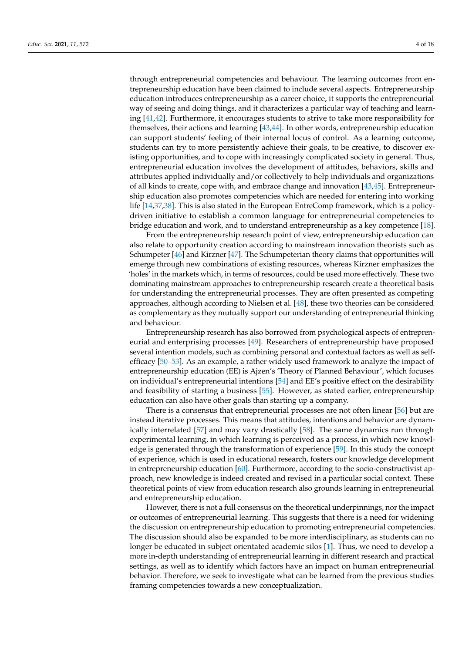through entrepreneurial competencies and behaviour. The learning outcomes from entrepreneurship education have been claimed to include several aspects. Entrepreneurship education introduces entrepreneurship as a career choice, it supports the entrepreneurial way of seeing and doing things, and it characterizes a particular way of teaching and learning [\[41,](#page-15-6)[42\]](#page-15-7). Furthermore, it encourages students to strive to take more responsibility for themselves, their actions and learning [\[43,](#page-15-8)[44\]](#page-15-9). In other words, entrepreneurship education can support students' feeling of their internal locus of control. As a learning outcome, students can try to more persistently achieve their goals, to be creative, to discover existing opportunities, and to cope with increasingly complicated society in general. Thus, entrepreneurial education involves the development of attitudes, behaviors, skills and attributes applied individually and/or collectively to help individuals and organizations of all kinds to create, cope with, and embrace change and innovation [\[43,](#page-15-8)[45\]](#page-15-10). Entrepreneurship education also promotes competencies which are needed for entering into working life [\[14,](#page-14-10)[37](#page-15-11)[,38\]](#page-15-12). This is also stated in the European EntreComp framework, which is a policydriven initiative to establish a common language for entrepreneurial competencies to bridge education and work, and to understand entrepreneurship as a key competence [\[18\]](#page-14-14).

From the entrepreneurship research point of view, entrepreneurship education can also relate to opportunity creation according to mainstream innovation theorists such as Schumpeter [\[46\]](#page-15-13) and Kirzner [\[47\]](#page-15-14). The Schumpeterian theory claims that opportunities will emerge through new combinations of existing resources, whereas Kirzner emphasizes the 'holes' in the markets which, in terms of resources, could be used more effectively. These two dominating mainstream approaches to entrepreneurship research create a theoretical basis for understanding the entrepreneurial processes. They are often presented as competing approaches, although according to Nielsen et al. [\[48\]](#page-15-15), these two theories can be considered as complementary as they mutually support our understanding of entrepreneurial thinking and behaviour.

Entrepreneurship research has also borrowed from psychological aspects of entrepreneurial and enterprising processes [\[49\]](#page-15-16). Researchers of entrepreneurship have proposed several intention models, such as combining personal and contextual factors as well as selfefficacy [\[50](#page-15-17)[–53\]](#page-15-18). As an example, a rather widely used framework to analyze the impact of entrepreneurship education (EE) is Ajzen's 'Theory of Planned Behaviour', which focuses on individual's entrepreneurial intentions [\[54\]](#page-15-19) and EE's positive effect on the desirability and feasibility of starting a business [\[55\]](#page-15-20). However, as stated earlier, entrepreneurship education can also have other goals than starting up a company.

There is a consensus that entrepreneurial processes are not often linear [\[56\]](#page-15-21) but are instead iterative processes. This means that attitudes, intentions and behavior are dynamically interrelated [\[57\]](#page-15-22) and may vary drastically [\[58\]](#page-15-23). The same dynamics run through experimental learning, in which learning is perceived as a process, in which new knowledge is generated through the transformation of experience [\[59\]](#page-15-24). In this study the concept of experience, which is used in educational research, fosters our knowledge development in entrepreneurship education [\[60\]](#page-15-25). Furthermore, according to the socio-constructivist approach, new knowledge is indeed created and revised in a particular social context. These theoretical points of view from education research also grounds learning in entrepreneurial and entrepreneurship education.

However, there is not a full consensus on the theoretical underpinnings, nor the impact or outcomes of entrepreneurial learning. This suggests that there is a need for widening the discussion on entrepreneurship education to promoting entrepreneurial competencies. The discussion should also be expanded to be more interdisciplinary, as students can no longer be educated in subject orientated academic silos [\[1\]](#page-13-0). Thus, we need to develop a more in-depth understanding of entrepreneurial learning in different research and practical settings, as well as to identify which factors have an impact on human entrepreneurial behavior. Therefore, we seek to investigate what can be learned from the previous studies framing competencies towards a new conceptualization.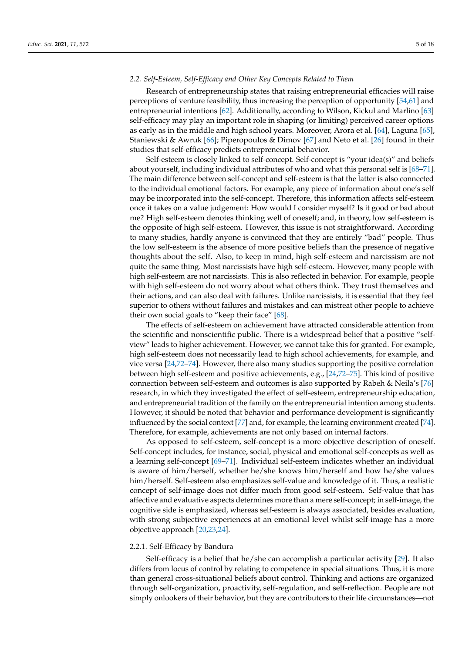# *2.2. Self-Esteem, Self-Efficacy and Other Key Concepts Related to Them*

Research of entrepreneurship states that raising entrepreneurial efficacies will raise perceptions of venture feasibility, thus increasing the perception of opportunity [\[54,](#page-15-19)[61\]](#page-15-26) and entrepreneurial intentions [\[62\]](#page-15-27). Additionally, according to Wilson, Kickul and Marlino [\[63\]](#page-16-0) self-efficacy may play an important role in shaping (or limiting) perceived career options as early as in the middle and high school years. Moreover, Arora et al. [\[64\]](#page-16-1), Laguna [\[65\]](#page-16-2), Staniewski & Awruk [\[66\]](#page-16-3); Piperopoulos & Dimov [\[67\]](#page-16-4) and Neto et al. [\[26\]](#page-14-21) found in their studies that self-efficacy predicts entrepreneurial behavior.

Self-esteem is closely linked to self-concept. Self-concept is "your idea(s)" and beliefs about yourself, including individual attributes of who and what this personal self is [\[68](#page-16-5)[–71\]](#page-16-6). The main difference between self-concept and self-esteem is that the latter is also connected to the individual emotional factors. For example, any piece of information about one's self may be incorporated into the self-concept. Therefore, this information affects self-esteem once it takes on a value judgement: How would I consider myself? Is it good or bad about me? High self-esteem denotes thinking well of oneself; and, in theory, low self-esteem is the opposite of high self-esteem. However, this issue is not straightforward. According to many studies, hardly anyone is convinced that they are entirely "bad" people. Thus the low self-esteem is the absence of more positive beliefs than the presence of negative thoughts about the self. Also, to keep in mind, high self-esteem and narcissism are not quite the same thing. Most narcissists have high self-esteem. However, many people with high self-esteem are not narcissists. This is also reflected in behavior. For example, people with high self-esteem do not worry about what others think. They trust themselves and their actions, and can also deal with failures. Unlike narcissists, it is essential that they feel superior to others without failures and mistakes and can mistreat other people to achieve their own social goals to "keep their face" [\[68\]](#page-16-5).

The effects of self-esteem on achievement have attracted considerable attention from the scientific and nonscientific public. There is a widespread belief that a positive "selfview" leads to higher achievement. However, we cannot take this for granted. For example, high self-esteem does not necessarily lead to high school achievements, for example, and vice versa [\[24](#page-14-19)[,72–](#page-16-7)[74\]](#page-16-8). However, there also many studies supporting the positive correlation between high self-esteem and positive achievements, e.g., [\[24,](#page-14-19)[72–](#page-16-7)[75\]](#page-16-9). This kind of positive connection between self-esteem and outcomes is also supported by Rabeh & Neila's [\[76\]](#page-16-10) research, in which they investigated the effect of self-esteem, entrepreneurship education, and entrepreneurial tradition of the family on the entrepreneurial intention among students. However, it should be noted that behavior and performance development is significantly influenced by the social context [\[77\]](#page-16-11) and, for example, the learning environment created [\[74\]](#page-16-8). Therefore, for example, achievements are not only based on internal factors.

As opposed to self-esteem, self-concept is a more objective description of oneself. Self-concept includes, for instance, social, physical and emotional self-concepts as well as a learning self-concept [\[69–](#page-16-12)[71\]](#page-16-6). Individual self-esteem indicates whether an individual is aware of him/herself, whether he/she knows him/herself and how he/she values him/herself. Self-esteem also emphasizes self-value and knowledge of it. Thus, a realistic concept of self-image does not differ much from good self-esteem. Self-value that has affective and evaluative aspects determines more than a mere self-concept; in self-image, the cognitive side is emphasized, whereas self-esteem is always associated, besides evaluation, with strong subjective experiences at an emotional level whilst self-image has a more objective approach [\[20](#page-14-16)[,23](#page-14-18)[,24\]](#page-14-19).

# 2.2.1. Self-Efficacy by Bandura

Self-efficacy is a belief that he/she can accomplish a particular activity [\[29\]](#page-14-23). It also differs from locus of control by relating to competence in special situations. Thus, it is more than general cross-situational beliefs about control. Thinking and actions are organized through self-organization, proactivity, self-regulation, and self-reflection. People are not simply onlookers of their behavior, but they are contributors to their life circumstances—not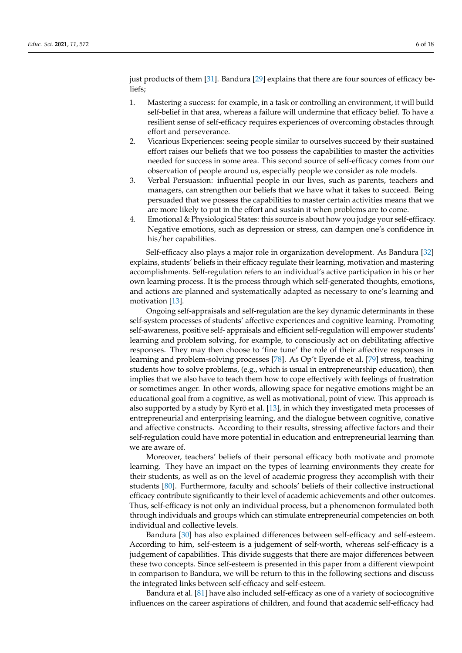just products of them [\[31\]](#page-14-25). Bandura [\[29\]](#page-14-23) explains that there are four sources of efficacy beliefs;

- 1. Mastering a success: for example, in a task or controlling an environment, it will build self-belief in that area, whereas a failure will undermine that efficacy belief. To have a resilient sense of self-efficacy requires experiences of overcoming obstacles through effort and perseverance.
- 2. Vicarious Experiences: seeing people similar to ourselves succeed by their sustained effort raises our beliefs that we too possess the capabilities to master the activities needed for success in some area. This second source of self-efficacy comes from our observation of people around us, especially people we consider as role models.
- 3. Verbal Persuasion: influential people in our lives, such as parents, teachers and managers, can strengthen our beliefs that we have what it takes to succeed. Being persuaded that we possess the capabilities to master certain activities means that we are more likely to put in the effort and sustain it when problems are to come.
- 4. Emotional & Physiological States: this source is about how you judge your self-efficacy. Negative emotions, such as depression or stress, can dampen one's confidence in his/her capabilities.

Self-efficacy also plays a major role in organization development. As Bandura [\[32\]](#page-14-24) explains, students' beliefs in their efficacy regulate their learning, motivation and mastering accomplishments. Self-regulation refers to an individual's active participation in his or her own learning process. It is the process through which self-generated thoughts, emotions, and actions are planned and systematically adapted as necessary to one's learning and motivation [\[13\]](#page-14-9).

Ongoing self-appraisals and self-regulation are the key dynamic determinants in these self-system processes of students' affective experiences and cognitive learning. Promoting self-awareness, positive self- appraisals and efficient self-regulation will empower students' learning and problem solving, for example, to consciously act on debilitating affective responses. They may then choose to 'fine tune' the role of their affective responses in learning and problem-solving processes [\[78\]](#page-16-13). As Op't Eyende et al. [\[79\]](#page-16-14) stress, teaching students how to solve problems, (e.g., which is usual in entrepreneurship education), then implies that we also have to teach them how to cope effectively with feelings of frustration or sometimes anger. In other words, allowing space for negative emotions might be an educational goal from a cognitive, as well as motivational, point of view. This approach is also supported by a study by Kyrö et al. [\[13\]](#page-14-9), in which they investigated meta processes of entrepreneurial and enterprising learning, and the dialogue between cognitive, conative and affective constructs. According to their results, stressing affective factors and their self-regulation could have more potential in education and entrepreneurial learning than we are aware of.

Moreover, teachers' beliefs of their personal efficacy both motivate and promote learning. They have an impact on the types of learning environments they create for their students, as well as on the level of academic progress they accomplish with their students [\[80\]](#page-16-15). Furthermore, faculty and schools' beliefs of their collective instructional efficacy contribute significantly to their level of academic achievements and other outcomes. Thus, self-efficacy is not only an individual process, but a phenomenon formulated both through individuals and groups which can stimulate entrepreneurial competencies on both individual and collective levels.

Bandura [\[30\]](#page-14-26) has also explained differences between self-efficacy and self-esteem. According to him, self-esteem is a judgement of self-worth, whereas self-efficacy is a judgement of capabilities. This divide suggests that there are major differences between these two concepts. Since self-esteem is presented in this paper from a different viewpoint in comparison to Bandura, we will be return to this in the following sections and discuss the integrated links between self-efficacy and self-esteem.

Bandura et al. [\[81\]](#page-16-16) have also included self-efficacy as one of a variety of sociocognitive influences on the career aspirations of children, and found that academic self-efficacy had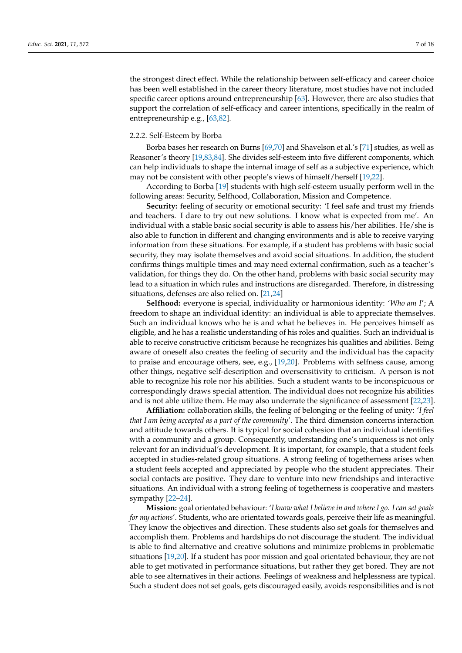the strongest direct effect. While the relationship between self-efficacy and career choice has been well established in the career theory literature, most studies have not included specific career options around entrepreneurship [\[63\]](#page-16-0). However, there are also studies that support the correlation of self-efficacy and career intentions, specifically in the realm of entrepreneurship e.g., [\[63,](#page-16-0)[82\]](#page-16-17).

### 2.2.2. Self-Esteem by Borba

Borba bases her research on Burns [\[69](#page-16-12)[,70\]](#page-16-18) and Shavelson et al.'s [\[71\]](#page-16-6) studies, as well as Reasoner's theory [\[19](#page-14-15)[,83](#page-16-19)[,84\]](#page-16-20). She divides self-esteem into five different components, which can help individuals to shape the internal image of self as a subjective experience, which may not be consistent with other people's views of himself/herself [\[19](#page-14-15)[,22\]](#page-14-27).

According to Borba [\[19\]](#page-14-15) students with high self-esteem usually perform well in the following areas: Security, Selfhood, Collaboration, Mission and Competence.

**Security:** feeling of security or emotional security: 'I feel safe and trust my friends and teachers. I dare to try out new solutions. I know what is expected from me'. An individual with a stable basic social security is able to assess his/her abilities. He/she is also able to function in different and changing environments and is able to receive varying information from these situations. For example, if a student has problems with basic social security, they may isolate themselves and avoid social situations. In addition, the student confirms things multiple times and may need external confirmation, such as a teacher's validation, for things they do. On the other hand, problems with basic social security may lead to a situation in which rules and instructions are disregarded. Therefore, in distressing situations, defenses are also relied on. [\[21](#page-14-17)[,24\]](#page-14-19)

**Selfhood:** everyone is special, individuality or harmonious identity: '*Who am I*'; A freedom to shape an individual identity: an individual is able to appreciate themselves. Such an individual knows who he is and what he believes in. He perceives himself as eligible, and he has a realistic understanding of his roles and qualities. Such an individual is able to receive constructive criticism because he recognizes his qualities and abilities. Being aware of oneself also creates the feeling of security and the individual has the capacity to praise and encourage others, see, e.g., [\[19](#page-14-15)[,20\]](#page-14-16). Problems with selfness cause, among other things, negative self-description and oversensitivity to criticism. A person is not able to recognize his role nor his abilities. Such a student wants to be inconspicuous or correspondingly draws special attention. The individual does not recognize his abilities and is not able utilize them. He may also underrate the significance of assessment [\[22,](#page-14-27)[23\]](#page-14-18).

**Affiliation:** collaboration skills, the feeling of belonging or the feeling of unity: '*I feel that I am being accepted as a part of the community*'. The third dimension concerns interaction and attitude towards others. It is typical for social cohesion that an individual identifies with a community and a group. Consequently, understanding one's uniqueness is not only relevant for an individual's development. It is important, for example, that a student feels accepted in studies-related group situations. A strong feeling of togetherness arises when a student feels accepted and appreciated by people who the student appreciates. Their social contacts are positive. They dare to venture into new friendships and interactive situations. An individual with a strong feeling of togetherness is cooperative and masters sympathy [\[22](#page-14-27)[–24\]](#page-14-19).

**Mission:** goal orientated behaviour: '*I know what I believe in and where I go. I can set goals for my actions*'. Students, who are orientated towards goals, perceive their life as meaningful. They know the objectives and direction. These students also set goals for themselves and accomplish them. Problems and hardships do not discourage the student. The individual is able to find alternative and creative solutions and minimize problems in problematic situations [\[19](#page-14-15)[,20\]](#page-14-16). If a student has poor mission and goal orientated behaviour, they are not able to get motivated in performance situations, but rather they get bored. They are not able to see alternatives in their actions. Feelings of weakness and helplessness are typical. Such a student does not set goals, gets discouraged easily, avoids responsibilities and is not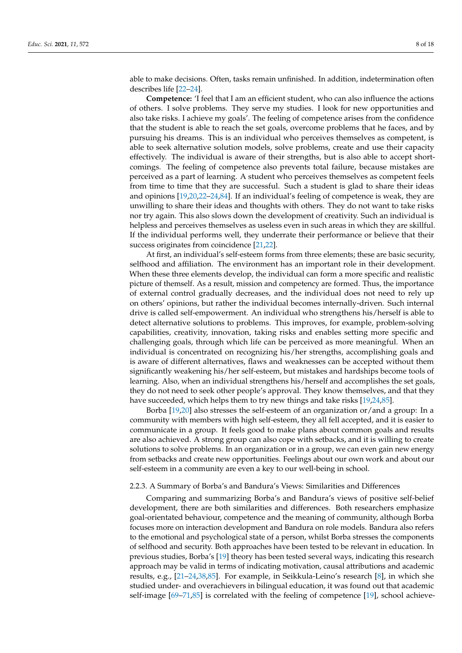able to make decisions. Often, tasks remain unfinished. In addition, indetermination often describes life [\[22](#page-14-27)[–24\]](#page-14-19).

**Competence:** 'I feel that I am an efficient student, who can also influence the actions of others. I solve problems. They serve my studies. I look for new opportunities and also take risks. I achieve my goals'. The feeling of competence arises from the confidence that the student is able to reach the set goals, overcome problems that he faces, and by pursuing his dreams. This is an individual who perceives themselves as competent, is able to seek alternative solution models, solve problems, create and use their capacity effectively. The individual is aware of their strengths, but is also able to accept shortcomings. The feeling of competence also prevents total failure, because mistakes are perceived as a part of learning. A student who perceives themselves as competent feels from time to time that they are successful. Such a student is glad to share their ideas and opinions [\[19](#page-14-15)[,20](#page-14-16)[,22](#page-14-27)[–24,](#page-14-19)[84\]](#page-16-20). If an individual's feeling of competence is weak, they are unwilling to share their ideas and thoughts with others. They do not want to take risks nor try again. This also slows down the development of creativity. Such an individual is helpless and perceives themselves as useless even in such areas in which they are skillful. If the individual performs well, they underrate their performance or believe that their success originates from coincidence [\[21,](#page-14-17)[22\]](#page-14-27).

At first, an individual's self-esteem forms from three elements; these are basic security, selfhood and affiliation. The environment has an important role in their development. When these three elements develop, the individual can form a more specific and realistic picture of themself. As a result, mission and competency are formed. Thus, the importance of external control gradually decreases, and the individual does not need to rely up on others' opinions, but rather the individual becomes internally-driven. Such internal drive is called self-empowerment. An individual who strengthens his/herself is able to detect alternative solutions to problems. This improves, for example, problem-solving capabilities, creativity, innovation, taking risks and enables setting more specific and challenging goals, through which life can be perceived as more meaningful. When an individual is concentrated on recognizing his/her strengths, accomplishing goals and is aware of different alternatives, flaws and weaknesses can be accepted without them significantly weakening his/her self-esteem, but mistakes and hardships become tools of learning. Also, when an individual strengthens his/herself and accomplishes the set goals, they do not need to seek other people's approval. They know themselves, and that they have succeeded, which helps them to try new things and take risks [\[19,](#page-14-15)[24,](#page-14-19)[85\]](#page-16-21).

Borba [\[19](#page-14-15)[,20\]](#page-14-16) also stresses the self-esteem of an organization or/and a group: In a community with members with high self-esteem, they all fell accepted, and it is easier to communicate in a group. It feels good to make plans about common goals and results are also achieved. A strong group can also cope with setbacks, and it is willing to create solutions to solve problems. In an organization or in a group, we can even gain new energy from setbacks and create new opportunities. Feelings about our own work and about our self-esteem in a community are even a key to our well-being in school.

#### 2.2.3. A Summary of Borba's and Bandura's Views: Similarities and Differences

Comparing and summarizing Borba's and Bandura's views of positive self-belief development, there are both similarities and differences. Both researchers emphasize goal-orientated behaviour, competence and the meaning of community, although Borba focuses more on interaction development and Bandura on role models. Bandura also refers to the emotional and psychological state of a person, whilst Borba stresses the components of selfhood and security. Both approaches have been tested to be relevant in education. In previous studies, Borba's [\[19\]](#page-14-15) theory has been tested several ways, indicating this research approach may be valid in terms of indicating motivation, causal attributions and academic results, e.g., [\[21–](#page-14-17)[24](#page-14-19)[,38](#page-15-12)[,85\]](#page-16-21). For example, in Seikkula-Leino's research [\[8\]](#page-14-5), in which she studied under- and overachievers in bilingual education, it was found out that academic self-image [\[69](#page-16-12)[–71](#page-16-6)[,85\]](#page-16-21) is correlated with the feeling of competence [\[19\]](#page-14-15), school achieve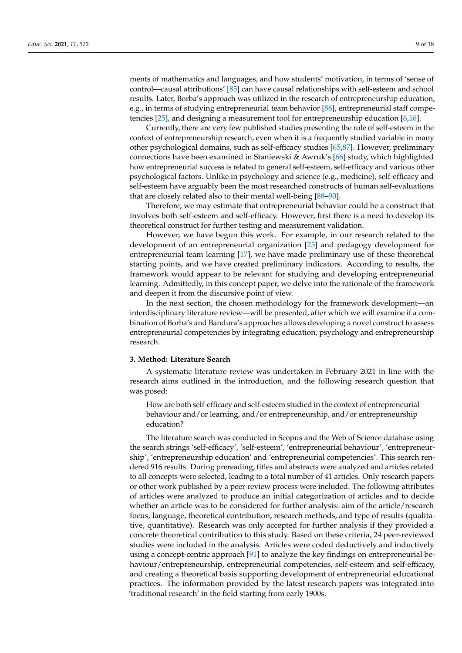ments of mathematics and languages, and how students' motivation, in terms of 'sense of control—causal attributions' [\[85\]](#page-16-21) can have causal relationships with self-esteem and school results. Later, Borba's approach was utilized in the research of entrepreneurship education, e.g., in terms of studying entrepreneurial team behavior [\[86\]](#page-16-22), entrepreneurial staff competencies [\[25\]](#page-14-20), and designing a measurement tool for entrepreneurship education [\[6,](#page-14-3)[16\]](#page-14-12).

Currently, there are very few published studies presenting the role of self-esteem in the context of entrepreneurship research, even when it is a frequently studied variable in many other psychological domains, such as self-efficacy studies [\[65,](#page-16-2)[87\]](#page-16-23). However, preliminary connections have been examined in Staniewski & Awruk's [\[66\]](#page-16-3) study, which highlighted how entrepreneurial success is related to general self-esteem, self-efficacy and various other psychological factors. Unlike in psychology and science (e.g., medicine), self-efficacy and self-esteem have arguably been the most researched constructs of human self-evaluations that are closely related also to their mental well-being [\[88–](#page-16-24)[90\]](#page-16-25).

Therefore, we may estimate that entrepreneurial behavior could be a construct that involves both self-esteem and self-efficacy. However, first there is a need to develop its theoretical construct for further testing and measurement validation.

However, we have begun this work. For example, in our research related to the development of an entrepreneurial organization [\[25\]](#page-14-20) and pedagogy development for entrepreneurial team learning [\[17\]](#page-14-13), we have made preliminary use of these theoretical starting points, and we have created preliminary indicators. According to results, the framework would appear to be relevant for studying and developing entrepreneurial learning. Admittedly, in this concept paper, we delve into the rationale of the framework and deepen it from the discursive point of view.

In the next section, the chosen methodology for the framework development—an interdisciplinary literature review—will be presented, after which we will examine if a combination of Borba's and Bandura's approaches allows developing a novel construct to assess entrepreneurial competencies by integrating education, psychology and entrepreneurship research.

## **3. Method: Literature Search**

A systematic literature review was undertaken in February 2021 in line with the research aims outlined in the introduction, and the following research question that was posed:

How are both self-efficacy and self-esteem studied in the context of entrepreneurial behaviour and/or learning, and/or entrepreneurship, and/or entrepreneurship education?

The literature search was conducted in Scopus and the Web of Science database using the search strings 'self-efficacy', 'self-esteem', 'entrepreneurial behaviour', 'entrepreneurship', 'entrepreneurship education' and 'entrepreneurial competencies'. This search rendered 916 results. During prereading, titles and abstracts were analyzed and articles related to all concepts were selected, leading to a total number of 41 articles. Only research papers or other work published by a peer-review process were included. The following attributes of articles were analyzed to produce an initial categorization of articles and to decide whether an article was to be considered for further analysis: aim of the article/research focus, language, theoretical contribution, research methods, and type of results (qualitative, quantitative). Research was only accepted for further analysis if they provided a concrete theoretical contribution to this study. Based on these criteria, 24 peer-reviewed studies were included in the analysis. Articles were coded deductively and inductively using a concept-centric approach [\[91\]](#page-16-26) to analyze the key findings on entrepreneurial behaviour/entrepreneurship, entrepreneurial competencies, self-esteem and self-efficacy, and creating a theoretical basis supporting development of entrepreneurial educational practices. The information provided by the latest research papers was integrated into 'traditional research' in the field starting from early 1900s.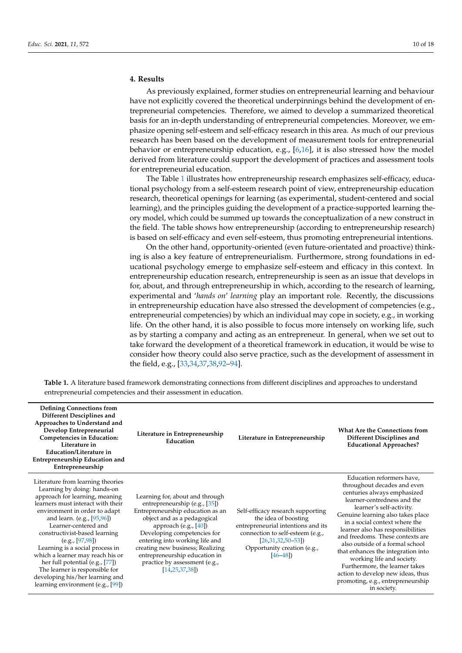# **4. Results**

As previously explained, former studies on entrepreneurial learning and behaviour have not explicitly covered the theoretical underpinnings behind the development of entrepreneurial competencies. Therefore, we aimed to develop a summarized theoretical basis for an in-depth understanding of entrepreneurial competencies. Moreover, we emphasize opening self-esteem and self-efficacy research in this area. As much of our previous research has been based on the development of measurement tools for entrepreneurial behavior or entrepreneurship education, e.g.,  $[6,16]$  $[6,16]$ , it is also stressed how the model derived from literature could support the development of practices and assessment tools for entrepreneurial education.

The Table [1](#page-9-0) illustrates how entrepreneurship research emphasizes self-efficacy, educational psychology from a self-esteem research point of view, entrepreneurship education research, theoretical openings for learning (as experimental, student-centered and social learning), and the principles guiding the development of a practice-supported learning theory model, which could be summed up towards the conceptualization of a new construct in the field. The table shows how entrepreneurship (according to entrepreneurship research) is based on self-efficacy and even self-esteem, thus promoting entrepreneurial intentions.

On the other hand, opportunity-oriented (even future-orientated and proactive) thinking is also a key feature of entrepreneurialism. Furthermore, strong foundations in educational psychology emerge to emphasize self-esteem and efficacy in this context. In entrepreneurship education research, entrepreneurship is seen as an issue that develops in for, about, and through entrepreneurship in which, according to the research of learning, experimental and '*hands on*' *learning* play an important role. Recently, the discussions in entrepreneurship education have also stressed the development of competencies (e.g., entrepreneurial competencies) by which an individual may cope in society, e.g., in working life. On the other hand, it is also possible to focus more intensely on working life, such as by starting a company and acting as an entrepreneur. In general, when we set out to take forward the development of a theoretical framework in education, it would be wise to consider how theory could also serve practice, such as the development of assessment in the field, e.g., [\[33](#page-15-0)[,34](#page-15-1)[,37](#page-15-11)[,38,](#page-15-12)[92–](#page-16-27)[94\]](#page-16-28).

<span id="page-9-0"></span>**Table 1.** A literature based framework demonstrating connections from different disciplines and approaches to understand entrepreneurial competencies and their assessment in education.

| <b>Defining Connections from</b><br>Different Desciplines and<br>Approaches to Understand and<br>Develop Entrepreneurial<br>Competencies in Education:<br>Literature in<br>Education/Literature in<br>Entrepreneurship Education and<br>Entrepreneurship                                                                                                                                                                                                                                               | Literature in Entrepreneurship<br>Education                                                                                                                                                                                                                                                                                                                  | Literature in Entrepreneurship                                                                                                                                                                          | <b>What Are the Connections from</b><br>Different Disciplines and<br><b>Educational Approaches?</b>                                                                                                                                                                                                                                                                                                                                                                                                                                |
|--------------------------------------------------------------------------------------------------------------------------------------------------------------------------------------------------------------------------------------------------------------------------------------------------------------------------------------------------------------------------------------------------------------------------------------------------------------------------------------------------------|--------------------------------------------------------------------------------------------------------------------------------------------------------------------------------------------------------------------------------------------------------------------------------------------------------------------------------------------------------------|---------------------------------------------------------------------------------------------------------------------------------------------------------------------------------------------------------|------------------------------------------------------------------------------------------------------------------------------------------------------------------------------------------------------------------------------------------------------------------------------------------------------------------------------------------------------------------------------------------------------------------------------------------------------------------------------------------------------------------------------------|
| Literature from learning theories<br>Learning by doing: hands-on<br>approach for learning, meaning<br>learners must interact with their<br>environment in order to adapt<br>and learn. (e.g., [95,96])<br>Learner-centered and<br>constructivist-based learning<br>(e.g., [97,98])<br>Learning is a social process in<br>which a learner may reach his or<br>her full potential (e.g., [77])<br>The learner is responsible for<br>developing his/her learning and<br>learning environment (e.g., [99]) | Learning for, about and through<br>entrepreneurship (e.g., $[35]$ )<br>Entrepreneurship education as an<br>object and as a pedagogical<br>approach $(e.g., [40])$<br>Developing competencies for<br>entering into working life and<br>creating new business; Realizing<br>entrepreneurship education in<br>practice by assessment (e.g.,<br>[14, 25, 37, 38] | Self-efficacy research supporting<br>the idea of boosting<br>entrepreneurial intentions and its<br>connection to self-esteem (e.g.,<br>$[26,31,32,50-53]$<br>Opportunity creation (e.g.,<br>$[46 - 48]$ | Education reformers have,<br>throughout decades and even<br>centuries always emphasized<br>learner-centredness and the<br>learner's self-activity.<br>Genuine learning also takes place<br>in a social context where the<br>learner also has responsibilities<br>and freedoms. These contexts are<br>also outside of a formal school<br>that enhances the integration into<br>working life and society.<br>Furthermore, the learner takes<br>action to develop new ideas, thus<br>promoting, e.g., entrepreneurship<br>in society. |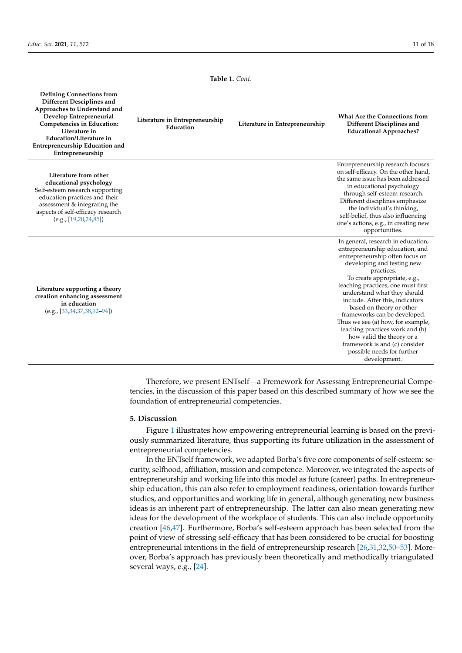| Table 1. Cont.                                                                                                                                                                                                                                                  |                                             |                                |                                                                                                                                                                                                                                                                                                                                                                                                                                                                                                                                              |  |  |
|-----------------------------------------------------------------------------------------------------------------------------------------------------------------------------------------------------------------------------------------------------------------|---------------------------------------------|--------------------------------|----------------------------------------------------------------------------------------------------------------------------------------------------------------------------------------------------------------------------------------------------------------------------------------------------------------------------------------------------------------------------------------------------------------------------------------------------------------------------------------------------------------------------------------------|--|--|
| <b>Defining Connections from</b><br>Different Desciplines and<br>Approaches to Understand and<br>Develop Entrepreneurial<br>Competencies in Education:<br>Literature in<br><b>Education/Literature in</b><br>Entrepreneurship Education and<br>Entrepreneurship | Literature in Entrepreneurship<br>Education | Literature in Entrepreneurship | <b>What Are the Connections from</b><br>Different Disciplines and<br><b>Educational Approaches?</b>                                                                                                                                                                                                                                                                                                                                                                                                                                          |  |  |
| Literature from other<br>educational psychology<br>Self-esteem research supporting<br>education practices and their<br>assessment & integrating the<br>aspects of self-efficacy research<br>(e.g., [19,20,24,85])                                               |                                             |                                | Entrepreneurship research focuses<br>on self-efficacy. On the other hand,<br>the same issue has been addressed<br>in educational psychology<br>through self-esteem research.<br>Different disciplines emphasize<br>the individual's thinking,<br>self-belief, thus also influencing<br>one's actions, e.g., in creating new<br>opportunities.                                                                                                                                                                                                |  |  |
| Literature supporting a theory<br>creation enhancing assessment<br>in education<br>$(e.g., [33,34,37,38,92-94])$                                                                                                                                                |                                             |                                | In general, research in education,<br>entrepreneurship education, and<br>entrepreneurship often focus on<br>developing and testing new<br>practices.<br>To create appropriate, e.g.,<br>teaching practices, one must first<br>understand what they should<br>include. After this, indicators<br>based on theory or other<br>frameworks can be developed.<br>Thus we see (a) how, for example,<br>teaching practices work and (b)<br>how valid the theory or a<br>framework is and (c) consider<br>possible needs for further<br>development. |  |  |

Therefore, we present ENTself—a Fremework for Assessing Entrepreneurial Competencies, in the discussion of this paper based on this described summary of how we see the foundation of entrepreneurial competencies.

#### **5. Discussion**

Figure [1](#page-11-0) illustrates how empowering entrepreneurial learning is based on the previously summarized literature, thus supporting its future utilization in the assessment of entrepreneurial competencies.

In the ENTself framework, we adapted Borba's five core components of self-esteem: security, selfhood, affiliation, mission and competence. Moreover, we integrated the aspects of entrepreneurship and working life into this model as future (career) paths. In entrepreneurship education, this can also refer to employment readiness, orientation towards further studies, and opportunities and working life in general, although generating new business ideas is an inherent part of entrepreneurship. The latter can also mean generating new ideas for the development of the workplace of students. This can also include opportunity creation [\[46,](#page-15-13)[47\]](#page-15-14). Furthermore, Borba's self-esteem approach has been selected from the point of view of stressing self-efficacy that has been considered to be crucial for boosting entrepreneurial intentions in the field of entrepreneurship research [\[26,](#page-14-21)[31](#page-14-25)[,32](#page-14-24)[,50–](#page-15-17)[53\]](#page-15-18). Moreover, Borba's approach has previously been theoretically and methodically triangulated several ways, e.g., [\[24\]](#page-14-19).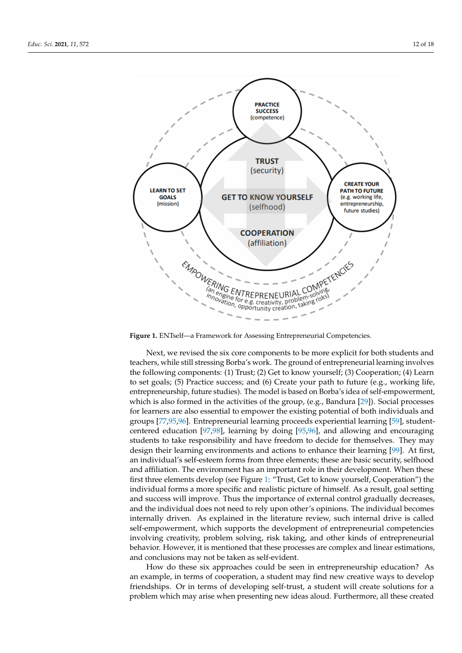<span id="page-11-0"></span>

**Figure 1.** ENTself—a Framework for Assessing Entrepreneurial Competencies.

Next, we revised the six core components to be more explicit for both students and teachers, while still stressing Borba's work. The ground of entrepreneurial learning involves the following components: (1) Trust; (2) Get to know yourself; (3) Cooperation; (4) Learn to set goals; (5) Practice success; and (6) Create your path to future (e.g., working life, entrepreneurship, future studies). The model is based on Borba's idea of self-empowerment, which is also formed in the activities of the group, (e.g., Bandura [\[29\]](#page-14-23)). Social processes for learners are also essential to empower the existing potential of both individuals and groups [\[77](#page-16-11)[,95](#page-16-29)[,96\]](#page-16-30). Entrepreneurial learning proceeds experiential learning [\[59\]](#page-15-24), studentcentered education [\[97](#page-16-31)[,98\]](#page-17-0), learning by doing [\[95](#page-16-29)[,96\]](#page-16-30), and allowing and encouraging students to take responsibility and have freedom to decide for themselves. They may design their learning environments and actions to enhance their learning [\[99\]](#page-17-1). At first, an individual's self-esteem forms from three elements; these are basic security, selfhood and affiliation. The environment has an important role in their development. When these first three elements develop (see Figure [1:](#page-11-0) "Trust, Get to know yourself, Cooperation") the individual forms a more specific and realistic picture of himself. As a result, goal setting and success will improve. Thus the importance of external control gradually decreases, and the individual does not need to rely upon other's opinions. The individual becomes internally driven. As explained in the literature review, such internal drive is called self-empowerment, which supports the development of entrepreneurial competencies involving creativity, problem solving, risk taking, and other kinds of entrepreneurial behavior. However, it is mentioned that these processes are complex and linear estimations, and conclusions may not be taken as self-evident.

How do these six approaches could be seen in entrepreneurship education? As an example, in terms of cooperation, a student may find new creative ways to develop friendships. Or in terms of developing self-trust, a student will create solutions for a problem which may arise when presenting new ideas aloud. Furthermore, all these created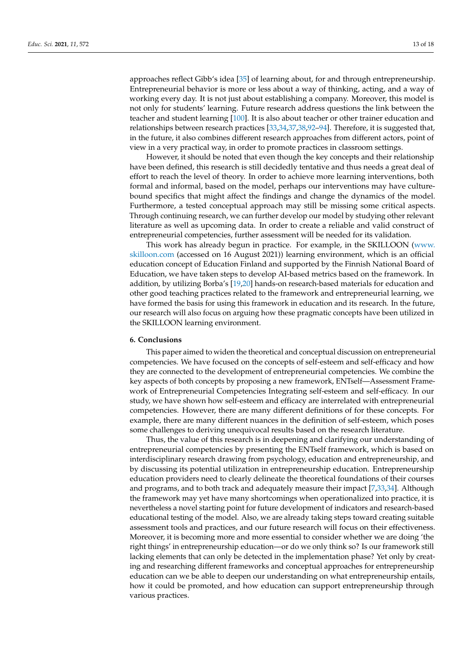approaches reflect Gibb's idea [\[35\]](#page-15-2) of learning about, for and through entrepreneurship. Entrepreneurial behavior is more or less about a way of thinking, acting, and a way of working every day. It is not just about establishing a company. Moreover, this model is not only for students' learning. Future research address questions the link between the teacher and student learning [\[100\]](#page-17-2). It is also about teacher or other trainer education and relationships between research practices [\[33](#page-15-0)[,34](#page-15-1)[,37](#page-15-11)[,38,](#page-15-12)[92–](#page-16-27)[94\]](#page-16-28). Therefore, it is suggested that, in the future, it also combines different research approaches from different actors, point of view in a very practical way, in order to promote practices in classroom settings.

However, it should be noted that even though the key concepts and their relationship have been defined, this research is still decidedly tentative and thus needs a great deal of effort to reach the level of theory. In order to achieve more learning interventions, both formal and informal, based on the model, perhaps our interventions may have culturebound specifics that might affect the findings and change the dynamics of the model. Furthermore, a tested conceptual approach may still be missing some critical aspects. Through continuing research, we can further develop our model by studying other relevant literature as well as upcoming data. In order to create a reliable and valid construct of entrepreneurial competencies, further assessment will be needed for its validation.

This work has already begun in practice. For example, in the SKILLOON [\(www.](www.skilloon.com) [skilloon.com](www.skilloon.com) (accessed on 16 August 2021)) learning environment, which is an official education concept of Education Finland and supported by the Finnish National Board of Education, we have taken steps to develop AI-based metrics based on the framework. In addition, by utilizing Borba's [\[19,](#page-14-15)[20\]](#page-14-16) hands-on research-based materials for education and other good teaching practices related to the framework and entrepreneurial learning, we have formed the basis for using this framework in education and its research. In the future, our research will also focus on arguing how these pragmatic concepts have been utilized in the SKILLOON learning environment.

## **6. Conclusions**

This paper aimed to widen the theoretical and conceptual discussion on entrepreneurial competencies. We have focused on the concepts of self-esteem and self-efficacy and how they are connected to the development of entrepreneurial competencies. We combine the key aspects of both concepts by proposing a new framework, ENTself—Assessment Framework of Entrepreneurial Competencies Integrating self-esteem and self-efficacy. In our study, we have shown how self-esteem and efficacy are interrelated with entrepreneurial competencies. However, there are many different definitions of for these concepts. For example, there are many different nuances in the definition of self-esteem, which poses some challenges to deriving unequivocal results based on the research literature.

Thus, the value of this research is in deepening and clarifying our understanding of entrepreneurial competencies by presenting the ENTself framework, which is based on interdisciplinary research drawing from psychology, education and entrepreneurship, and by discussing its potential utilization in entrepreneurship education. Entrepreneurship education providers need to clearly delineate the theoretical foundations of their courses and programs, and to both track and adequately measure their impact [\[7,](#page-14-4)[33](#page-15-0)[,34\]](#page-15-1). Although the framework may yet have many shortcomings when operationalized into practice, it is nevertheless a novel starting point for future development of indicators and research-based educational testing of the model. Also, we are already taking steps toward creating suitable assessment tools and practices, and our future research will focus on their effectiveness. Moreover, it is becoming more and more essential to consider whether we are doing 'the right things' in entrepreneurship education—or do we only think so? Is our framework still lacking elements that can only be detected in the implementation phase? Yet only by creating and researching different frameworks and conceptual approaches for entrepreneurship education can we be able to deepen our understanding on what entrepreneurship entails, how it could be promoted, and how education can support entrepreneurship through various practices.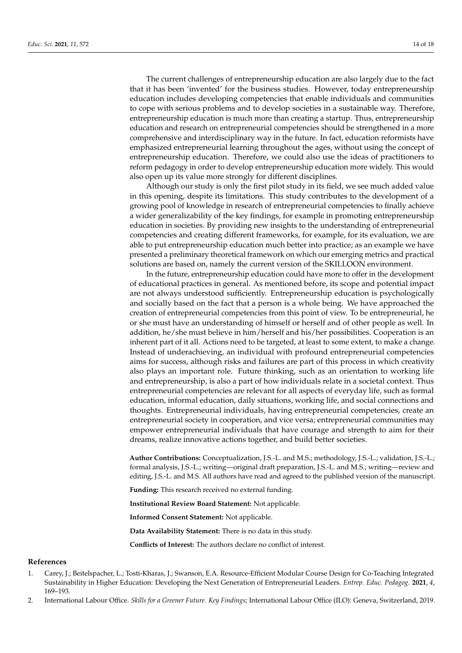The current challenges of entrepreneurship education are also largely due to the fact that it has been 'invented' for the business studies. However, today entrepreneurship education includes developing competencies that enable individuals and communities to cope with serious problems and to develop societies in a sustainable way. Therefore, entrepreneurship education is much more than creating a startup. Thus, entrepreneurship education and research on entrepreneurial competencies should be strengthened in a more comprehensive and interdisciplinary way in the future. In fact, education reformists have emphasized entrepreneurial learning throughout the ages, without using the concept of entrepreneurship education. Therefore, we could also use the ideas of practitioners to reform pedagogy in order to develop entrepreneurship education more widely. This would also open up its value more strongly for different disciplines.

Although our study is only the first pilot study in its field, we see much added value in this opening, despite its limitations. This study contributes to the development of a growing pool of knowledge in research of entrepreneurial competencies to finally achieve a wider generalizability of the key findings, for example in promoting entrepreneurship education in societies. By providing new insights to the understanding of entrepreneurial competencies and creating different frameworks, for example, for its evaluation, we are able to put entrepreneurship education much better into practice; as an example we have presented a preliminary theoretical framework on which our emerging metrics and practical solutions are based on, namely the current version of the SKILLOON environment.

In the future, entrepreneurship education could have more to offer in the development of educational practices in general. As mentioned before, its scope and potential impact are not always understood sufficiently. Entrepreneurship education is psychologically and socially based on the fact that a person is a whole being. We have approached the creation of entrepreneurial competencies from this point of view. To be entrepreneurial, he or she must have an understanding of himself or herself and of other people as well. In addition, he/she must believe in him/herself and his/her possibilities. Cooperation is an inherent part of it all. Actions need to be targeted, at least to some extent, to make a change. Instead of underachieving, an individual with profound entrepreneurial competencies aims for success, although risks and failures are part of this process in which creativity also plays an important role. Future thinking, such as an orientation to working life and entrepreneurship, is also a part of how individuals relate in a societal context. Thus entrepreneurial competencies are relevant for all aspects of everyday life, such as formal education, informal education, daily situations, working life, and social connections and thoughts. Entrepreneurial individuals, having entrepreneurial competencies, create an entrepreneurial society in cooperation, and vice versa; entrepreneurial communities may empower entrepreneurial individuals that have courage and strength to aim for their dreams, realize innovative actions together, and build better societies.

**Author Contributions:** Conceptualization, J.S.-L. and M.S.; methodology, J.S.-L.; validation, J.S.-L.; formal analysis, J.S.-L.; writing—original draft preparation, J.S.-L. and M.S.; writing—review and editing, J.S.-L. and M.S. All authors have read and agreed to the published version of the manuscript.

**Funding:** This research received no external funding.

**Institutional Review Board Statement:** Not applicable.

**Informed Consent Statement:** Not applicable.

**Data Availability Statement:** There is no data in this study.

**Conflicts of Interest:** The authors declare no conflict of interest.

#### **References**

- <span id="page-13-0"></span>1. Carey, J.; Beitelspacher, L.; Tosti-Kharas, J.; Swanson, E.A. Resource-Efficient Modular Course Design for Co-Teaching Integrated Sustainability in Higher Education: Developing the Next Generation of Entrepreneurial Leaders. *Entrep. Educ. Pedagog.* **2021**, *4*, 169–193.
- <span id="page-13-1"></span>2. International Labour Office. *Skills for a Greener Future. Key Findings*; International Labour Office (ILO): Geneva, Switzerland, 2019.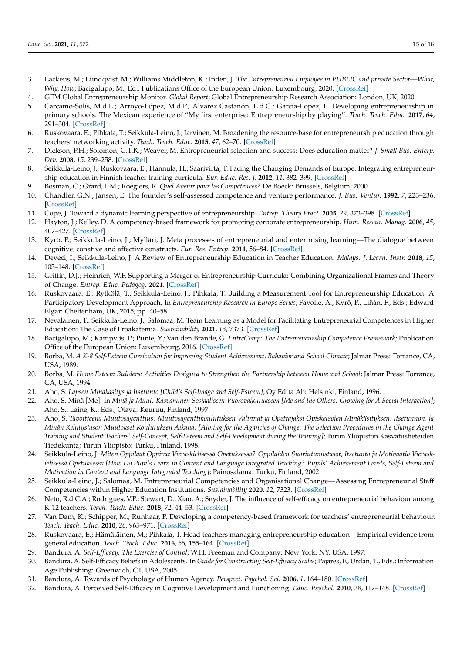- <span id="page-14-0"></span>3. Lackéus, M.; Lundqvist, M.; Williams Middleton, K.; Inden, J. *The Entrepreneurial Employee in PUBLIC and private Sector—What, Why, How*; Bacigalupo, M., Ed.; Publications Office of the European Union: Luxembourg, 2020. [\[CrossRef\]](http://doi.org/10.2760/460123)
- <span id="page-14-1"></span>4. GEM Global Entrepreneurship Monitor. *Global Report*; Global Entrepreneurship Research Association: London, UK, 2020.
- <span id="page-14-2"></span>5. Cárcamo-Solís, M.d.L.; Arroyo-López, M.d.P.; Alvarez Castañón, L.d.C.; García-López, E. Developing entrepreneurship in primary schools. The Mexican experience of "My first enterprise: Entrepreneurship by playing". *Teach. Teach. Educ.* **2017**, *64*, 291–304. [\[CrossRef\]](http://doi.org/10.1016/j.tate.2017.02.013)
- <span id="page-14-3"></span>6. Ruskovaara, E.; Pihkala, T.; Seikkula-Leino, J.; Järvinen, M. Broadening the resource-base for entrepreneurship education through teachers' networking activity. *Teach. Teach. Educ.* **2015**, *47*, 62–70. [\[CrossRef\]](http://doi.org/10.1016/j.tate.2014.12.008)
- <span id="page-14-4"></span>7. Dickson, P.H.; Solomon, G.T.K.; Weaver, M. Entrepreneurial selection and success: Does education matter? *J. Small Bus. Enterp. Dev.* **2008**, *15*, 239–258. [\[CrossRef\]](http://doi.org/10.1108/14626000810871655)
- <span id="page-14-5"></span>8. Seikkula-Leino, J.; Ruskovaara, E.; Hannula, H.; Saarivirta, T. Facing the Changing Demands of Europe: Integrating entrepreneurship education in Finnish teacher training curricula. *Eur. Educ. Res. J.* **2012**, *11*, 382–399. [\[CrossRef\]](http://doi.org/10.2304/eerj.2012.11.3.382)
- <span id="page-14-6"></span>9. Bosman, C.; Grard, F.M.; Roegiers, R. *Quel Avenir pour les Compétences?* De Boeck: Brussels, Belgium, 2000.
- <span id="page-14-7"></span>10. Chandler, G.N.; Jansen, E. The founder's self-assessed competence and venture performance. *J. Bus. Ventur.* **1992**, *7*, 223–236. [\[CrossRef\]](http://doi.org/10.1016/0883-9026(92)90028-P)
- <span id="page-14-8"></span>11. Cope, J. Toward a dynamic learning perspective of entrepreneurship. *Entrep. Theory Pract.* **2005**, *29*, 373–398. [\[CrossRef\]](http://doi.org/10.1111/j.1540-6520.2005.00090.x)
- 12. Hayton, J.; Kelley, D. A competency-based framework for promoting corporate entrepreneurship. *Hum. Resour. Manag.* **2006**, *45*, 407–427. [\[CrossRef\]](http://doi.org/10.1002/hrm.20118)
- <span id="page-14-9"></span>13. Kyrö, P.; Seikkula-Leino, J.; Mylläri, J. Meta processes of entrepreneurial and enterprising learning—The dialogue between cognitive, conative and affective constructs. *Eur. Res. Entrep.* **2011**, 56–84. [\[CrossRef\]](http://doi.org/10.4337/9780857931757)
- <span id="page-14-10"></span>14. Deveci, I.; Seikkula-Leino, J. A Review of Entrepreneurship Education in Teacher Education. *Malays. J. Learn. Instr.* **2018**, *15*, 105–148. [\[CrossRef\]](http://doi.org/10.32890/mjli2018.15.1.5)
- <span id="page-14-11"></span>15. Griffin, D.J.; Heinrich, W.F. Supporting a Merger of Entrepreneurship Curricula: Combining Organizational Frames and Theory of Change. *Entrep. Educ. Pedagog.* **2021**. [\[CrossRef\]](http://doi.org/10.1177/25151274211017549)
- <span id="page-14-12"></span>16. Ruskovaara, E.; Rytkölä, T.; Seikkula-Leino, J.; Pihkala, T. Building a Measurement Tool for Entrepreneurship Education: A Participatory Development Approach. In *Entrepreneurship Research in Europe Series*; Fayolle, A., Kyrö, P., Liñán, F., Eds.; Edward Elgar: Cheltenham, UK, 2015; pp. 40–58.
- <span id="page-14-13"></span>17. Nevalainen, T.; Seikkula-Leino, J.; Salomaa, M. Team Learning as a Model for Facilitating Entrepreneurial Competences in Higher Education: The Case of Proakatemia. *Sustainability* **2021**, *13*, 7373. [\[CrossRef\]](http://doi.org/10.3390/su13137373)
- <span id="page-14-14"></span>18. Bacigalupo, M.; Kampylis, P.; Punie, Y.; Van den Brande, G. *EntreComp: The Entrepreneurship Competence Framework*; Publication Office of the European Union: Luxembourg, 2016. [\[CrossRef\]](http://doi.org/10.2791/593884)
- <span id="page-14-15"></span>19. Borba, M. *A K-8 Self-Esteem Curriculum for Improving Student Achievement, Bahavior and School Climate*; Jalmar Press: Torrance, CA, USA, 1989.
- <span id="page-14-16"></span>20. Borba, M. *Home Esteem Builders: Activities Designed to Strengthen the Partnership between Home and School*; Jalmar Press: Torrance, CA, USA, 1994.
- <span id="page-14-17"></span>21. Aho, S. *Lapsen Minäkäsitys ja Itsetunto [Child's Self-Image and Self-Esteem]*; Oy Edita Ab: Helsinki, Finland, 1996.
- <span id="page-14-27"></span>22. Aho, S. Minä [Me]. In *Minä ja Muut. Kasvaminen Sosiaaliseen Vuorovaikutukseen [Me and the Others. Growing for A Social Interaction]*; Aho, S., Laine, K., Eds.; Otava: Keuruu, Finland, 1997.
- <span id="page-14-18"></span>23. Aho, S. *Tavoitteena Muutosagenttius. Muutosagenttikoulutuksen Valinnat ja Opettajaksi Opiskelevien Minäkäsityksen, Itsetunnon, ja Minän Kehitystason Muutokset Koulutuksen Aikana. [Aiming for the Agancies of Change. The Selection Procedures in the Change Agent Training and Student Teachers' Self-Concept, Self-Esteem and Self-Development during the Training]*; Turun Yliopiston Kasvatustieteiden Tiedekunta; Turun Yliopisto: Turku, Finland, 1998.
- <span id="page-14-19"></span>24. Seikkula-Leino, J. *Miten Oppilaat Oppivat Vieraskielisessä Opetuksessa? Oppilaiden Suoriutumistasot, Itsetunto ja Motivaatio Vieraskielisessä Opetuksessa [How Do Pupils Learn in Content and Language Integrated Teaching? Pupils' Achievement Levels, Self-Esteem and Motivation in Content and Language Integrated Teaching]*; Painosalama: Turku, Finland, 2002.
- <span id="page-14-20"></span>25. Seikkula-Leino, J.; Salomaa, M. Entrepreneurial Competencies and Organisational Change—Assessing Entrepreneurial Staff Competencies within Higher Education Institutions. *Sustainability* **2020**, *12*, 7323. [\[CrossRef\]](http://doi.org/10.3390/su12187323)
- <span id="page-14-21"></span>26. Neto, R.d.C.A.; Rodrigues, V.P.; Stewart, D.; Xiao, A.; Snyder, J. The influence of self-efficacy on entrepreneurial behaviour among K-12 teachers. *Teach. Teach. Educ.* **2018**, *72*, 44–53. [\[CrossRef\]](http://doi.org/10.1016/j.tate.2018.02.012)
- 27. Van Dam, K.; Schipper, M.; Runhaar, P. Developing a competency-based framework for teachers' entrepreneurial behaviour. *Teach. Teach. Educ.* **2010**, *26*, 965–971. [\[CrossRef\]](http://doi.org/10.1016/j.tate.2009.10.038)
- <span id="page-14-22"></span>28. Ruskovaara, E.; Hämäläinen, M.; Pihkala, T. Head teachers managing entrepreneurship education—Empirical evidence from general education. *Teach. Teach. Educ.* **2016**, *55*, 155–164. [\[CrossRef\]](http://doi.org/10.1016/j.tate.2016.01.004)
- <span id="page-14-23"></span>29. Bandura, A. *Self-Efficacy. The Exercise of Control*; W.H. Freeman and Company: New York, NY, USA, 1997.
- <span id="page-14-26"></span>30. Bandura, A. Self-Efficacy Beliefs in Adolescents. In *Guide for Constructing Self-Efficacy Scales*; Pajares, F., Urdan, T., Eds.; Information Age Publishing: Greenwich, CT, USA, 2005.
- <span id="page-14-25"></span>31. Bandura, A. Towards of Psychology of Human Agency. *Perspect. Psychol. Sci.* **2006**, *1*, 164–180. [\[CrossRef\]](http://doi.org/10.1111/j.1745-6916.2006.00011.x)
- <span id="page-14-24"></span>32. Bandura, A. Perceived Self-Efficacy in Cognitive Development and Functioning. *Educ. Psychol.* **2010**, *28*, 117–148. [\[CrossRef\]](http://doi.org/10.1207/s15326985ep2802_3)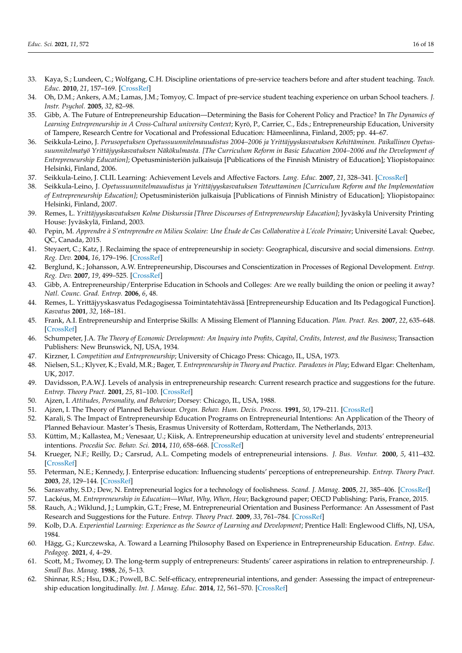- <span id="page-15-0"></span>33. Kaya, S.; Lundeen, C.; Wolfgang, C.H. Discipline orientations of pre-service teachers before and after student teaching. *Teach. Educ.* **2010**, *21*, 157–169. [\[CrossRef\]](http://doi.org/10.1080/10476211003632475)
- <span id="page-15-1"></span>34. Oh, D.M.; Ankers, A.M.; Lamas, J.M.; Tomyoy, C. Impact of pre-service student teaching experience on urban School teachers. *J. Instr. Psychol.* **2005**, *32*, 82–98.
- <span id="page-15-2"></span>35. Gibb, A. The Future of Entrepreneurship Education—Determining the Basis for Coherent Policy and Practice? In *The Dynamics of Learning Entrepreneurship in A Cross-Cultural university Context*; Kyrö, P., Carrier, C., Eds.; Entrepreneurship Education, University of Tampere, Research Centre for Vocational and Professional Education: Hämeenlinna, Finland, 2005; pp. 44–67.
- <span id="page-15-3"></span>36. Seikkula-Leino, J. *Perusopetuksen Opetussuunnitelmauudistus 2004–2006 ja Yrittäjyyskasvatuksen Kehittäminen. Paikallinen Opetussuunnitelmatyö Yrittäjyyskasvatuksen Näkökulmasta. [The Curriculum Reform in Basic Education 2004–2006 and the Development of Entrepreneurship Education]*; Opetusministeriön julkaisuja [Publications of the Finnish Ministry of Education]; Yliopistopaino: Helsinki, Finland, 2006.
- <span id="page-15-11"></span>37. Seikkula-Leino, J. CLIL Learning: Achievement Levels and Affective Factors. *Lang. Educ.* **2007**, *21*, 328–341. [\[CrossRef\]](http://doi.org/10.2167/le635.0)
- <span id="page-15-12"></span>38. Seikkula-Leino, J. *Opetussuunnitelmauudistus ja Yrittäjyyskasvatuksen Toteuttaminen [Curriculum Reform and the Implementation of Entrepreneurship Education]*; Opetusministeriön julkaisuja [Publications of Finnish Ministry of Education]; Yliopistopaino: Helsinki, Finland, 2007.
- <span id="page-15-4"></span>39. Remes, L. *Yrittäjyyskasvatuksen Kolme Diskurssia [Three Discourses of Entrepreneurship Education]*; Jyväskylä University Printing House: Jyväskylä, Finland, 2003.
- <span id="page-15-5"></span>40. Pepin, M. *Apprendre à S'entreprendre en Milieu Scolaire: Une Étude de Cas Collaborative à L'école Primaire*; Université Laval: Quebec, QC, Canada, 2015.
- <span id="page-15-6"></span>41. Steyaert, C.; Katz, J. Reclaiming the space of entrepreneurship in society: Geographical, discursive and social dimensions. *Entrep. Reg. Dev.* **2004**, *16*, 179–196. [\[CrossRef\]](http://doi.org/10.1080/0898562042000197135)
- <span id="page-15-7"></span>42. Berglund, K.; Johansson, A.W. Entrepreneurship, Discourses and Conscientization in Processes of Regional Development. *Entrep. Reg. Dev.* **2007**, *19*, 499–525. [\[CrossRef\]](http://doi.org/10.1080/08985620701671833)
- <span id="page-15-8"></span>43. Gibb, A. Entrepreneurship/Enterprise Education in Schools and Colleges: Are we really building the onion or peeling it away? *Natl. Counc. Grad. Entrep.* **2006**, *6*, 48.
- <span id="page-15-9"></span>44. Remes, L. Yrittäjyyskasvatus Pedagogisessa Toimintatehtävässä [Entrepreneurship Education and Its Pedagogical Function]. *Kasvatus* **2001**, *32*, 168–181.
- <span id="page-15-10"></span>45. Frank, A.I. Entrepreneurship and Enterprise Skills: A Missing Element of Planning Education. *Plan. Pract. Res.* **2007**, *22*, 635–648. [\[CrossRef\]](http://doi.org/10.1080/02697450701770142)
- <span id="page-15-13"></span>46. Schumpeter, J.A. *The Theory of Economic Development: An Inquiry into Profits, Capital, Credits, Interest, and the Business*; Transaction Publishers: New Brunswick, NJ, USA, 1934.
- <span id="page-15-14"></span>47. Kirzner, I. *Competition and Entrepreneurship*; University of Chicago Press: Chicago, IL, USA, 1973.
- <span id="page-15-15"></span>48. Nielsen, S.L.; Klyver, K.; Evald, M.R.; Bager, T. *Entrepreneurship in Theory and Practice. Paradoxes in Play*; Edward Elgar: Cheltenham, UK, 2017.
- <span id="page-15-16"></span>49. Davidsson, P.A.W.J. Levels of analysis in entrepreneurship research: Current research practice and suggestions for the future. *Entrep. Theory Pract.* **2001**, *25*, 81–100. [\[CrossRef\]](http://doi.org/10.1177/104225870102500406)
- <span id="page-15-17"></span>50. Ajzen, I. *Attitudes, Personality, and Behavior*; Dorsey: Chicago, IL, USA, 1988.
- 51. Ajzen, I. The Theory of Planned Behaviour. *Organ. Behav. Hum. Decis. Process.* **1991**, *50*, 179–211. [\[CrossRef\]](http://doi.org/10.1016/0749-5978(91)90020-T)
- 52. Karali, S. The Impact of Entrepreneurship Education Programs on Entrepreneurial Intentions: An Application of the Theory of Planned Behaviour. Master's Thesis, Erasmus University of Rotterdam, Rotterdam, The Netherlands, 2013.
- <span id="page-15-18"></span>53. Küttim, M.; Kallastea, M.; Venesaar, U.; Kiisk, A. Entrepreneurship education at university level and students' entrepreneurial intentions. *Procedia Soc. Behav. Sci.* **2014**, *110*, 658–668. [\[CrossRef\]](http://doi.org/10.1016/j.sbspro.2013.12.910)
- <span id="page-15-19"></span>54. Krueger, N.F.; Reilly, D.; Carsrud, A.L. Competing models of entrepreneurial intensions. *J. Bus. Ventur.* **2000**, *5*, 411–432. [\[CrossRef\]](http://doi.org/10.1016/S0883-9026(98)00033-0)
- <span id="page-15-20"></span>55. Peterman, N.E.; Kennedy, J. Enterprise education: Influencing students' perceptions of entrepreneurship. *Entrep. Theory Pract.* **2003**, *28*, 129–144. [\[CrossRef\]](http://doi.org/10.1046/j.1540-6520.2003.00035.x)
- <span id="page-15-21"></span>56. Sarasvathy, S.D.; Dew, N. Entrepreneurial logics for a technology of foolishness. *Scand. J. Manag.* **2005**, *21*, 385–406. [\[CrossRef\]](http://doi.org/10.1016/j.scaman.2005.09.009)
- <span id="page-15-22"></span>57. Lackéus, M. *Entrepreneurship in Education—What, Why, When, How*; Background paper; OECD Publishing: Paris, France, 2015.
- <span id="page-15-23"></span>58. Rauch, A.; Wiklund, J.; Lumpkin, G.T.; Frese, M. Entrepreneurial Orientation and Business Performance: An Assessment of Past Research and Suggestions for the Future. *Entrep. Theory Pract.* **2009**, *33*, 761–784. [\[CrossRef\]](http://doi.org/10.1111/j.1540-6520.2009.00308.x)
- <span id="page-15-24"></span>59. Kolb, D.A. *Experiential Learning: Experience as the Source of Learning and Development*; Prentice Hall: Englewood Cliffs, NJ, USA, 1984.
- <span id="page-15-25"></span>60. Hägg, G.; Kurczewska, A. Toward a Learning Philosophy Based on Experience in Entrepreneurship Education. *Entrep. Educ. Pedagog.* **2021**, *4*, 4–29.
- <span id="page-15-26"></span>61. Scott, M.; Twomey, D. The long-term supply of entrepreneurs: Students' career aspirations in relation to entrepreneurship. *J. Small Bus. Manag.* **1988**, *26*, 5–13.
- <span id="page-15-27"></span>62. Shinnar, R.S.; Hsu, D.K.; Powell, B.C. Self-efficacy, entrepreneurial intentions, and gender: Assessing the impact of entrepreneurship education longitudinally. *Int. J. Manag. Educ.* **2014**, *12*, 561–570. [\[CrossRef\]](http://doi.org/10.1016/j.ijme.2014.09.005)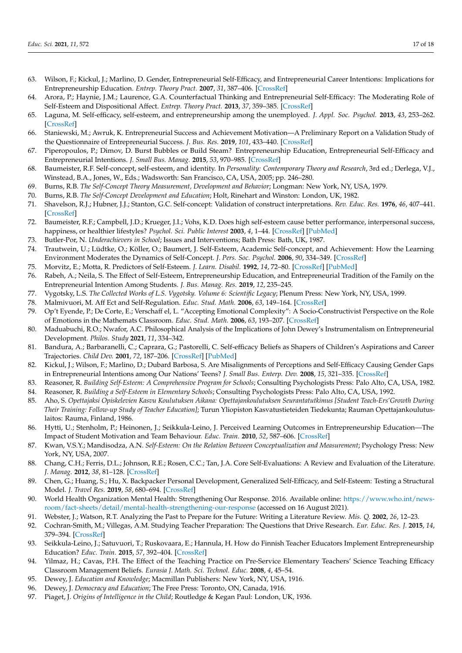- <span id="page-16-0"></span>63. Wilson, F.; Kickul, J.; Marlino, D. Gender, Entrepreneurial Self-Efficacy, and Entrepreneurial Career Intentions: Implications for Entrepreneurship Education. *Entrep. Theory Pract.* **2007**, *31*, 387–406. [\[CrossRef\]](http://doi.org/10.1111/j.1540-6520.2007.00179.x)
- <span id="page-16-1"></span>64. Arora, P.; Haynie, J.M.; Laurence, G.A. Counterfactual Thinking and Entrepreneurial Self-Efficacy: The Moderating Role of Self-Esteem and Dispositional Affect. *Entrep. Theory Pract.* **2013**, *37*, 359–385. [\[CrossRef\]](http://doi.org/10.1111/j.1540-6520.2011.00472.x)
- <span id="page-16-2"></span>65. Laguna, M. Self-efficacy, self-esteem, and entrepreneurship among the unemployed. *J. Appl. Soc. Psychol.* **2013**, *43*, 253–262. [\[CrossRef\]](http://doi.org/10.1111/j.1559-1816.2012.00994.x)
- <span id="page-16-3"></span>66. Staniewski, M.; Awruk, K. Entrepreneurial Success and Achievement Motivation—A Preliminary Report on a Validation Study of the Questionnaire of Entrepreneurial Success. *J. Bus. Res.* **2019**, *101*, 433–440. [\[CrossRef\]](http://doi.org/10.1016/j.jbusres.2019.01.073)
- <span id="page-16-4"></span>67. Piperopoulos, P.; Dimov, D. Burst Bubbles or Build Steam? Entrepreneurship Education, Entrepreneurial Self-Efficacy and Entrepreneurial Intentions. *J. Small Bus. Manag.* **2015**, *53*, 970–985. [\[CrossRef\]](http://doi.org/10.1111/jsbm.12116)
- <span id="page-16-5"></span>68. Baumeister, R.F. Self-concept, self-esteem, and identity. In *Personality: Contemporary Theory and Research*, 3rd ed.; Derlega, V.J., Winstead, B.A., Jones, W., Eds.; Wadsworth: San Francisco, CA, USA, 2005; pp. 246–280.
- <span id="page-16-12"></span>69. Burns, R.B. *The Self-Concept Theory Measurement, Development and Behavior*; Longman: New York, NY, USA, 1979.
- <span id="page-16-18"></span>70. Burns, R.B. *The Self-Concept Development and Education*; Holt, Rinehart and Winston: London, UK, 1982.
- <span id="page-16-6"></span>71. Shavelson, R.J.; Hubner, J.J.; Stanton, G.C. Self-concept: Validation of construct interpretations. *Rev. Educ. Res.* **1976**, *46*, 407–441. [\[CrossRef\]](http://doi.org/10.3102/00346543046003407)
- <span id="page-16-7"></span>72. Baumeister, R.F.; Campbell, J.D.; Krueger, J.I.; Vohs, K.D. Does high self-esteem cause better performance, interpersonal success, happiness, or healthier lifestyles? *Psychol. Sci. Public Interest* **2003**, *4*, 1–44. [\[CrossRef\]](http://doi.org/10.1111/1529-1006.01431) [\[PubMed\]](http://www.ncbi.nlm.nih.gov/pubmed/26151640)
- 73. Butler-Por, N. *Underachievers in School*; Issues and Interventions; Bath Press: Bath, UK, 1987.
- <span id="page-16-8"></span>74. Trautwein, U.; Lüdtke, O.; Köller, O.; Baumert, J. Self-Esteem, Academic Self-concept, and Achievement: How the Learning Environment Moderates the Dynamics of Self-Concept. *J. Pers. Soc. Psychol.* **2006**, *90*, 334–349. [\[CrossRef\]](http://doi.org/10.1037/0022-3514.90.2.334)
- <span id="page-16-9"></span>75. Morvitz, E.; Motta, R. Predictors of Self-Esteem. *J. Learn. Disabil.* **1992**, *14*, 72–80. [\[CrossRef\]](http://doi.org/10.1177/002221949202500111) [\[PubMed\]](http://www.ncbi.nlm.nih.gov/pubmed/1740640)
- <span id="page-16-10"></span>76. Rabeh, A.; Neila, S. The Effect of Self-Esteem, Entrepreneurship Education, and Entrepreneurial Tradition of the Family on the Entrepreneurial Intention Among Students. *J. Bus. Manag. Res.* **2019**, *12*, 235–245.
- <span id="page-16-11"></span>77. Vygotsky, L.S. *The Collected Works of L.S. Vygotsky. Volume 6: Scientific Legacy*; Plenum Press: New York, NY, USA, 1999.
- <span id="page-16-13"></span>78. Malmivuori, M. Aff Ect and Self-Regulation. *Educ. Stud. Math.* **2006**, *63*, 149–164. [\[CrossRef\]](http://doi.org/10.1007/s10649-006-9022-8)
- <span id="page-16-14"></span>79. Op't Eyende, P.; De Corte, E.; Verschaff el, L. "Accepting Emotional Complexity": A Socio-Constructivist Perspective on the Role of Emotions in the Mathemats Classroom. *Educ. Stud. Math.* **2006**, *63*, 193–207. [\[CrossRef\]](http://doi.org/10.1007/s10649-006-9034-4)
- <span id="page-16-15"></span>80. Maduabuchi, R.O.; Nwafor, A.C. Philosophical Analysis of the Implications of John Dewey's Instrumentalism on Entrepreneurial Development. *Philos. Study* **2021**, *11*, 334–342.
- <span id="page-16-16"></span>81. Bandura, A.; Barbaranelli, C.; Caprara, G.; Pastorelli, C. Self-efficacy Beliefs as Shapers of Children's Aspirations and Career Trajectories. *Child Dev.* **2001**, *72*, 187–206. [\[CrossRef\]](http://doi.org/10.1111/1467-8624.00273) [\[PubMed\]](http://www.ncbi.nlm.nih.gov/pubmed/11280478)
- <span id="page-16-17"></span>82. Kickul, J.; Wilson, F.; Marlino, D.; Dubard Barbosa, S. Are Misalignments of Perceptions and Self-Efficacy Causing Gender Gaps in Entrepreneurial Intentions among Our Nations' Teens? *J. Small Bus. Enterp. Dev.* **2008**, *15*, 321–335. [\[CrossRef\]](http://doi.org/10.1108/14626000810871709)
- <span id="page-16-19"></span>83. Reasoner, R. *Building Self-Esteem: A Comprehensive Program for Schools;* Consulting Psychologists Press: Palo Alto, CA, USA, 1982.
- <span id="page-16-20"></span>84. Reasoner, R. *Building a Self-Esteem in Elementary Schools*; Consulting Psychologists Press: Palo Alto, CA, USA, 1992.
- <span id="page-16-21"></span>85. Aho, S. *Opettajaksi Opiskelevien Kasvu Koulutuksen Aikana: Opettajankoulutuksen Seurantatutkimus [Student Teach-Ers'Growth During Their Training: Follow-up Study of Teacher Education]*; Turun Yliopiston Kasvatustieteiden Tiedekunta; Rauman Opettajankoulutuslaitos: Rauma, Finland, 1986.
- <span id="page-16-22"></span>86. Hytti, U.; Stenholm, P.; Heinonen, J.; Seikkula-Leino, J. Perceived Learning Outcomes in Entrepreneurship Education—The Impact of Student Motivation and Team Behaviour. *Educ. Train.* **2010**, *52*, 587–606. [\[CrossRef\]](http://doi.org/10.1108/00400911011088935)
- <span id="page-16-23"></span>87. Kwan, V.S.Y.; Mandisodza, A.N. *Self-Esteem: On the Relation Between Conceptualization and Measurement*; Psychology Press: New York, NY, USA, 2007.
- <span id="page-16-24"></span>88. Chang, C.H.; Ferris, D.L.; Johnson, R.E.; Rosen, C.C.; Tan, J.A. Core Self-Evaluations: A Review and Evaluation of the Literature. *J. Manag.* **2012**, *38*, 81–128. [\[CrossRef\]](http://doi.org/10.1177/0149206311419661)
- 89. Chen, G.; Huang, S.; Hu, X. Backpacker Personal Development, Generalized Self-Efficacy, and Self-Esteem: Testing a Structural Model. *J. Travel Res.* **2019**, *58*, 680–694. [\[CrossRef\]](http://doi.org/10.1177/0047287518768457)
- <span id="page-16-25"></span>90. World Health Organization Mental Health: Strengthening Our Response. 2016. Available online: [https://www.who.int/news](https://www.who.int/news-room/fact-sheets/detail/mental-health-strengthening-our-response)[room/fact-sheets/detail/mental-health-strengthening-our-response](https://www.who.int/news-room/fact-sheets/detail/mental-health-strengthening-our-response) (accessed on 16 August 2021).
- <span id="page-16-26"></span>91. Webster, J.; Watson, R.T. Analyzing the Past to Prepare for the Future: Writing a Literature Review. *Mis. Q.* **2002**, *26*, 12–23.
- <span id="page-16-27"></span>92. Cochran-Smith, M.; Villegas, A.M. Studying Teacher Preparation: The Questions that Drive Research. *Eur. Educ. Res. J.* **2015**, *14*, 379–394. [\[CrossRef\]](http://doi.org/10.1177/1474904115590211)
- 93. Seikkula-Leino, J.; Satuvuori, T.; Ruskovaara, E.; Hannula, H. How do Finnish Teacher Educators Implement Entrepreneurship Education? *Educ. Train.* **2015**, *57*, 392–404. [\[CrossRef\]](http://doi.org/10.1108/ET-03-2013-0029)
- <span id="page-16-28"></span>94. Yilmaz, H.; Cavas, P.H. The Effect of the Teaching Practice on Pre-Service Elementary Teachers' Science Teaching Efficacy Classroom Management Beliefs. *Eurasia J. Math. Sci. Technol. Educ.* **2008**, *4*, 45–54.
- <span id="page-16-29"></span>95. Dewey, J. *Education and Knowledge*; Macmillan Publishers: New York, NY, USA, 1916.
- <span id="page-16-30"></span>96. Dewey, J. *Democracy and Education*; The Free Press: Toronto, ON, Canada, 1916.
- <span id="page-16-31"></span>97. Piaget, J. *Origins of Intelligence in the Child*; Routledge & Kegan Paul: London, UK, 1936.